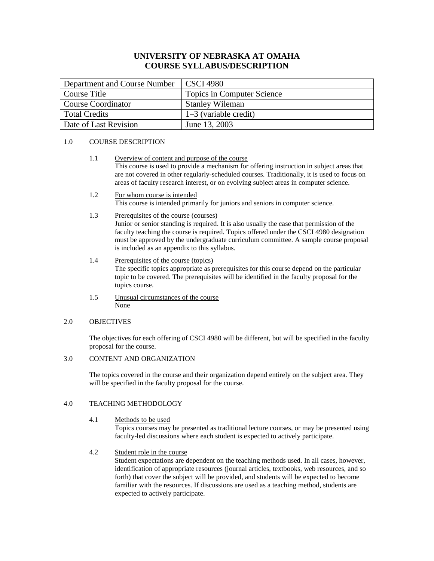# **UNIVERSITY OF NEBRASKA AT OMAHA COURSE SYLLABUS/DESCRIPTION**

| Department and Course Number | CSCI 4980                  |
|------------------------------|----------------------------|
| Course Title                 | Topics in Computer Science |
| <b>Course Coordinator</b>    | <b>Stanley Wileman</b>     |
| <b>Total Credits</b>         | $1-3$ (variable credit)    |
| Date of Last Revision        | June 13, 2003              |

#### 1.0 COURSE DESCRIPTION

- 1.1 Overview of content and purpose of the course This course is used to provide a mechanism for offering instruction in subject areas that are not covered in other regularly-scheduled courses. Traditionally, it is used to focus on areas of faculty research interest, or on evolving subject areas in computer science.
- 1.2 For whom course is intended This course is intended primarily for juniors and seniors in computer science.
- 1.3 Prerequisites of the course (courses)

Junior or senior standing is required. It is also usually the case that permission of the faculty teaching the course is required. Topics offered under the CSCI 4980 designation must be approved by the undergraduate curriculum committee. A sample course proposal is included as an appendix to this syllabus.

- 1.4 Prerequisites of the course (topics) The specific topics appropriate as prerequisites for this course depend on the particular topic to be covered. The prerequisites will be identified in the faculty proposal for the topics course.
- 1.5 Unusual circumstances of the course None

#### 2.0 OBJECTIVES

The objectives for each offering of CSCI 4980 will be different, but will be specified in the faculty proposal for the course.

# 3.0 CONTENT AND ORGANIZATION

The topics covered in the course and their organization depend entirely on the subject area. They will be specified in the faculty proposal for the course.

## 4.0 TEACHING METHODOLOGY

4.1 Methods to be used

Topics courses may be presented as traditional lecture courses, or may be presented using faculty-led discussions where each student is expected to actively participate.

4.2 Student role in the course

Student expectations are dependent on the teaching methods used. In all cases, however, identification of appropriate resources (journal articles, textbooks, web resources, and so forth) that cover the subject will be provided, and students will be expected to become familiar with the resources. If discussions are used as a teaching method, students are expected to actively participate.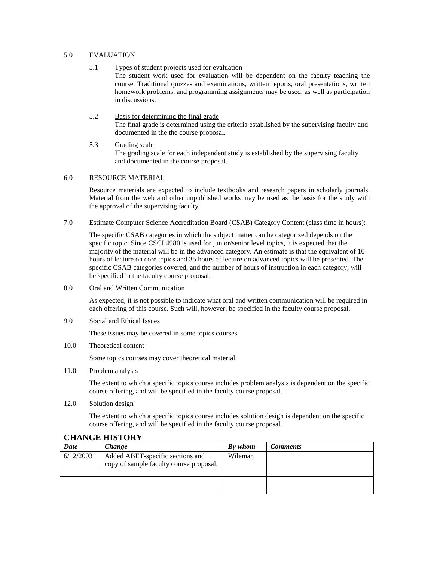#### 5.0 EVALUATION

- 5.1 Types of student projects used for evaluation The student work used for evaluation will be dependent on the faculty teaching the course. Traditional quizzes and examinations, written reports, oral presentations, written homework problems, and programming assignments may be used, as well as participation in discussions.
- 5.2 Basis for determining the final grade The final grade is determined using the criteria established by the supervising faculty and documented in the the course proposal.
- 5.3 Grading scale The grading scale for each independent study is established by the supervising faculty and documented in the course proposal.

#### 6.0 RESOURCE MATERIAL

Resource materials are expected to include textbooks and research papers in scholarly journals. Material from the web and other unpublished works may be used as the basis for the study with the approval of the supervising faculty.

7.0 Estimate Computer Science Accreditation Board (CSAB) Category Content (class time in hours):

The specific CSAB categories in which the subject matter can be categorized depends on the specific topic. Since CSCI 4980 is used for junior/senior level topics, it is expected that the majority of the material will be in the advanced category. An estimate is that the equivalent of 10 hours of lecture on core topics and 35 hours of lecture on advanced topics will be presented. The specific CSAB categories covered, and the number of hours of instruction in each category, will be specified in the faculty course proposal.

8.0 Oral and Written Communication

As expected, it is not possible to indicate what oral and written communication will be required in each offering of this course. Such will, however, be specified in the faculty course proposal.

9.0 Social and Ethical Issues

These issues may be covered in some topics courses.

10.0 Theoretical content

Some topics courses may cover theoretical material.

11.0 Problem analysis

The extent to which a specific topics course includes problem analysis is dependent on the specific course offering, and will be specified in the faculty course proposal.

12.0 Solution design

The extent to which a specific topics course includes solution design is dependent on the specific course offering, and will be specified in the faculty course proposal.

| Date      | Change                                  | By whom | <b>Comments</b> |
|-----------|-----------------------------------------|---------|-----------------|
| 6/12/2003 | Added ABET-specific sections and        | Wileman |                 |
|           | copy of sample faculty course proposal. |         |                 |
|           |                                         |         |                 |
|           |                                         |         |                 |
|           |                                         |         |                 |

## **CHANGE HISTORY**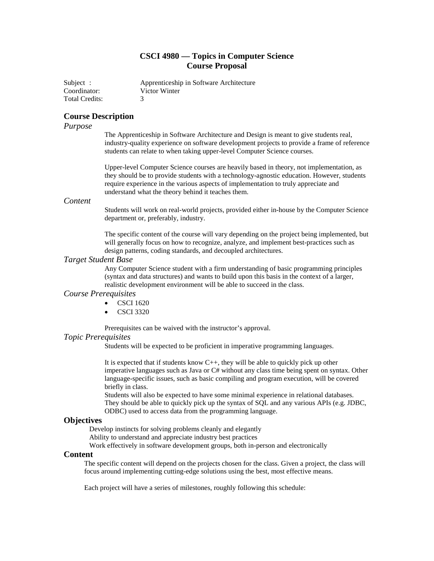# **CSCI 4980 — Topics in Computer Science Course Proposal**

Subject : Apprenticeship in Software Architecture Coordinator: Victor Winter Total Credits: 3

# **Course Description**

## *Purpose*

The Apprenticeship in Software Architecture and Design is meant to give students real, industry-quality experience on software development projects to provide a frame of reference students can relate to when taking upper-level Computer Science courses.

Upper-level Computer Science courses are heavily based in theory, not implementation, as they should be to provide students with a technology-agnostic education. However, students require experience in the various aspects of implementation to truly appreciate and understand what the theory behind it teaches them.

# *Content*

Students will work on real-world projects, provided either in-house by the Computer Science department or, preferably, industry.

The specific content of the course will vary depending on the project being implemented, but will generally focus on how to recognize, analyze, and implement best-practices such as design patterns, coding standards, and decoupled architectures.

#### *Target Student Base*

Any Computer Science student with a firm understanding of basic programming principles (syntax and data structures) and wants to build upon this basis in the context of a larger, realistic development environment will be able to succeed in the class.

## *Course Prerequisites*

- CSCI 1620
- CSCI 3320

Prerequisites can be waived with the instructor's approval.

#### *Topic Prerequisites*

Students will be expected to be proficient in imperative programming languages.

It is expected that if students know C++, they will be able to quickly pick up other imperative languages such as Java or C# without any class time being spent on syntax. Other language-specific issues, such as basic compiling and program execution, will be covered briefly in class.

Students will also be expected to have some minimal experience in relational databases. They should be able to quickly pick up the syntax of SQL and any various APIs (e.g. JDBC, ODBC) used to access data from the programming language.

## **Objectives**

Develop instincts for solving problems cleanly and elegantly

Ability to understand and appreciate industry best practices

Work effectively in software development groups, both in-person and electronically

#### **Content**

The specific content will depend on the projects chosen for the class. Given a project, the class will focus around implementing cutting-edge solutions using the best, most effective means.

Each project will have a series of milestones, roughly following this schedule: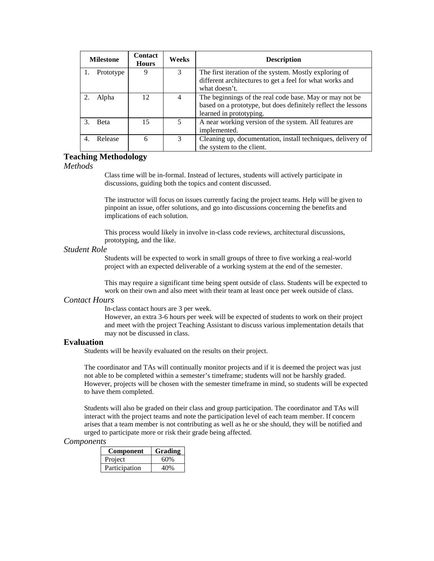|   | <b>Milestone</b> | <b>Contact</b><br><b>Hours</b> | Weeks | <b>Description</b>                                                                                                                                  |
|---|------------------|--------------------------------|-------|-----------------------------------------------------------------------------------------------------------------------------------------------------|
|   | Prototype        | 9                              | 3     | The first iteration of the system. Mostly exploring of<br>different architectures to get a feel for what works and<br>what doesn't.                 |
|   | Alpha            | 12.                            | 4     | The beginnings of the real code base. May or may not be<br>based on a prototype, but does definitely reflect the lessons<br>learned in prototyping. |
|   | <b>B</b> eta     | 15                             | 5     | A near working version of the system. All features are<br>implemented.                                                                              |
| 4 | Release          | 6                              | 3     | Cleaning up, documentation, install techniques, delivery of<br>the system to the client.                                                            |

# **Teaching Methodology**

*Methods*

Class time will be in-formal. Instead of lectures, students will actively participate in discussions, guiding both the topics and content discussed.

The instructor will focus on issues currently facing the project teams. Help will be given to pinpoint an issue, offer solutions, and go into discussions concerning the benefits and implications of each solution.

This process would likely in involve in-class code reviews, architectural discussions, prototyping, and the like.

#### *Student Role*

Students will be expected to work in small groups of three to five working a real-world project with an expected deliverable of a working system at the end of the semester.

This may require a significant time being spent outside of class. Students will be expected to work on their own and also meet with their team at least once per week outside of class.

## *Contact Hours*

In-class contact hours are 3 per week.

However, an extra 3-6 hours per week will be expected of students to work on their project and meet with the project Teaching Assistant to discuss various implementation details that may not be discussed in class.

# **Evaluation**

Students will be heavily evaluated on the results on their project.

The coordinator and TAs will continually monitor projects and if it is deemed the project was just not able to be completed within a semester's timeframe; students will not be harshly graded. However, projects will be chosen with the semester timeframe in mind, so students will be expected to have them completed.

Students will also be graded on their class and group participation. The coordinator and TAs will interact with the project teams and note the participation level of each team member. If concern arises that a team member is not contributing as well as he or she should, they will be notified and urged to participate more or risk their grade being affected.

#### *Components*

| Component     | Grading |
|---------------|---------|
| Project       | 60%     |
| Participation | 40%     |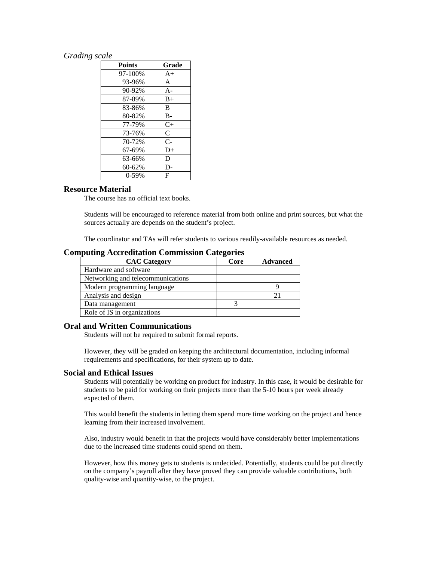## *Grading scale*

| <b>Points</b> | Grade |
|---------------|-------|
| 97-100%       | $A+$  |
| 93-96%        | A     |
| 90-92%        | $A -$ |
| 87-89%        | $B+$  |
| 83-86%        | B     |
| 80-82%        | $B -$ |
| 77-79%        | $C+$  |
| 73-76%        | C     |
| 70-72%        | $C-$  |
| 67-69%        | $D+$  |
| 63-66%        | D     |
| $60 - 62%$    | D-    |
| $0-59%$       | F     |

## **Resource Material**

The course has no official text books.

Students will be encouraged to reference material from both online and print sources, but what the sources actually are depends on the student's project.

The coordinator and TAs will refer students to various readily-available resources as needed.

## **Computing Accreditation Commission Categories**

| <b>CAC Category</b>               | Core | <b>Advanced</b> |
|-----------------------------------|------|-----------------|
| Hardware and software             |      |                 |
| Networking and telecommunications |      |                 |
| Modern programming language       |      |                 |
| Analysis and design               |      |                 |
| Data management                   |      |                 |
| Role of IS in organizations       |      |                 |

## **Oral and Written Communications**

Students will not be required to submit formal reports.

However, they will be graded on keeping the architectural documentation, including informal requirements and specifications, for their system up to date.

## **Social and Ethical Issues**

Students will potentially be working on product for industry. In this case, it would be desirable for students to be paid for working on their projects more than the 5-10 hours per week already expected of them.

This would benefit the students in letting them spend more time working on the project and hence learning from their increased involvement.

Also, industry would benefit in that the projects would have considerably better implementations due to the increased time students could spend on them.

However, how this money gets to students is undecided. Potentially, students could be put directly on the company's payroll after they have proved they can provide valuable contributions, both quality-wise and quantity-wise, to the project.